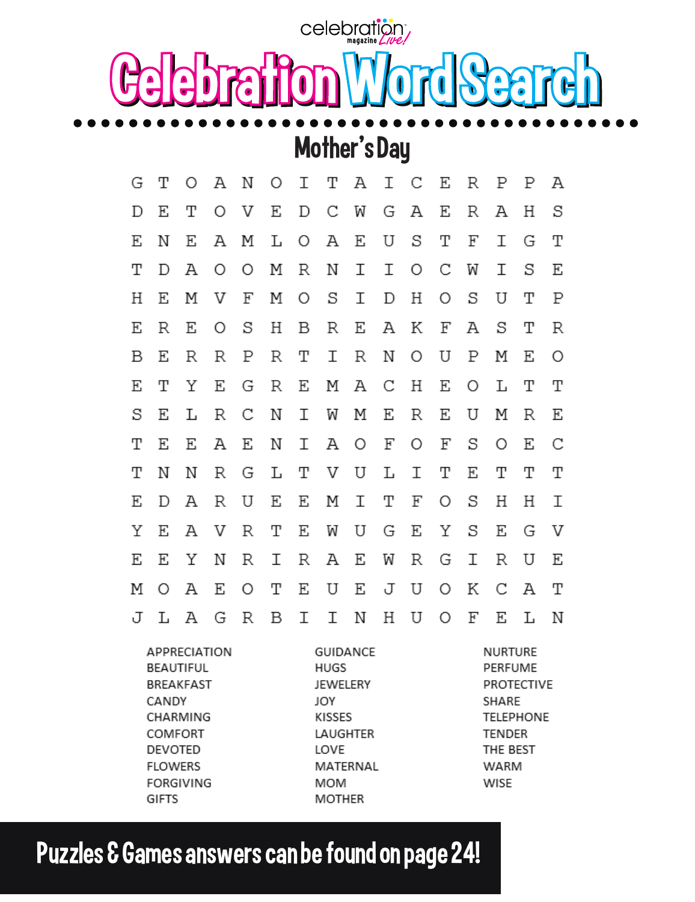celebration Celebration Word Search

## Mother's Day

| G                                                      | т | $\bigcirc$ | Α | Ν | Ο | Ι | Τ                              | Α               | Ι | С                                                | Ε | R | Р | Р | Α |
|--------------------------------------------------------|---|------------|---|---|---|---|--------------------------------|-----------------|---|--------------------------------------------------|---|---|---|---|---|
| D                                                      | Ε | т          | Ο | V | E | D | С                              | W               | G | Α                                                | Ε | R | Α | Η | S |
| Ε                                                      | Ν | Ε          | Α | Μ | L | Ο | Α                              | Ε               | U | S                                                | Т | F | Ι | G | Т |
| Т                                                      | D | Α          | Ο | Ο | Μ | R | Ν                              | Ι               | Ι | Ο                                                | С | W | Ι | S | Ε |
| Η                                                      | Ε | Μ          | V | F | Μ | Ο | S                              | Ι               | D | Η                                                | Ο | S | U | т | Ρ |
| Ε                                                      | R | Ε          | Ο | S | Η | В | R                              | Ε               | Α | Κ                                                | F | Α | S | Т | R |
| В                                                      | E | R          | R | Ρ | R | т | Ι                              | R               | Ν | Ω                                                | U | Ρ | Μ | Ε | Ο |
| E                                                      | Т | Υ          | Ε | G | R | E | Μ                              | Α               | С | Η                                                | Ε | Ο | L | т | Т |
| S                                                      | Ε | L          | R | С | Ν | Ι | W                              | Μ               | Ε | R                                                | Ε | U | Μ | R | Ε |
| т                                                      | Ε | Ε          | Α | Ε | Ν | Ι | Α                              | Ο               | F | Ο                                                | F | S | Ο | Ε | С |
| т                                                      | Ν | Ν          | R | G | L | т | V                              | U               | L | Ι                                                | Т | Ε | Т | т | Т |
| Ε                                                      | D | Α          | R | U | Ε | Ε | Μ                              | Ι               | Т | F                                                | Ο | S | Η | Η | Ι |
| Υ                                                      | Ε | Α          | V | R | т | Ε | W                              | U               | G | Ε                                                | Υ | S | Ε | G | V |
| E                                                      | Ε | Υ          | Ν | R | Ι | R | Α                              | Ε               | W | R                                                | G | Ι | R | U | Ε |
| Μ                                                      | Ο | Α          | E | Ο | т | Ε | U                              | Ε               | J | U                                                | Ο | Κ | С | А | Т |
| J                                                      | L | Ά          | G | R | В | Ι | Ι                              | Ν               | Η | U                                                | Ο | F | Ε | L | Ν |
| APPRECIATION<br>BEAUTIFUL<br><b>BREAKFAST</b><br>CANDY |   |            |   |   |   |   | HUGS<br><b>JEWELERY</b><br>JOY | <b>GUIDANCE</b> |   | <b>NURTURE</b><br>PERFUME<br>PROTECTIVE<br>SHARE |   |   |   |   |   |

KISSES

LOVE

**MOM** 

**MOTHER** 

LAUGHTER

MATERNAL

**TELEPHONE** 

**TENDER** 

WARM

WISE

THE BEST

Puzzles & Games answers can be found on page 24!

CHARMING

COMFORT

DEVOTED

**FLOWERS** 

**GIFTS** 

**FORGIVING**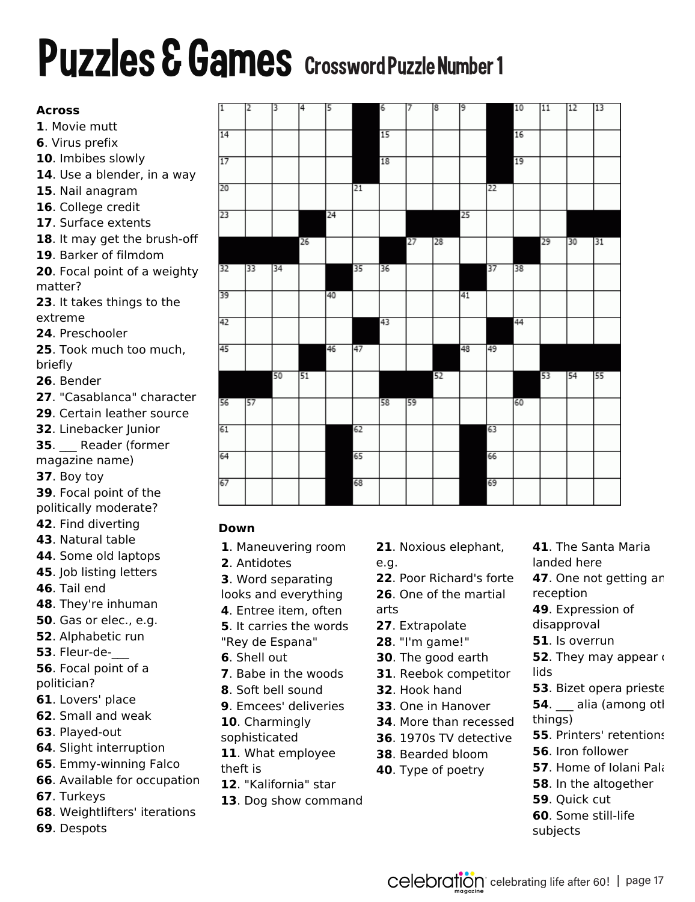#### **Puzzles & Games** Crossword Puzzle Number 1 https://onlinecrosswords.net/2544 **OnlineCrosswords.net** This is the Daily Crossword Puzzle **#1** for **Mar 19, 2021**

#### **Across**

- . Movie mutt
- . Virus prefix
- . Imbibes slowly
- . Use a blender, in a way
- . Nail anagram
- . College credit
- . Surface extents
- . It may get the brush-off
- . Barker of filmdom
- . Focal point of a weighty matter?
- . It takes things to the extreme
- . Preschooler
- . Took much too much, briefly
- . Bender
- . "Casablanca" character
- . Certain leather source
- . Linebacker Junior
- . Reader (former
- magazine name)
- . Boy toy
- . Focal point of the
- politically moderate?
- . Find diverting
- . Natural table
- . Some old laptops
- . Job listing letters
- . Tail end
- . They're inhuman
- . Gas or elec., e.g.
- . Alphabetic run
- . Fleur-de-\_\_\_
- . Focal point of a politician?
- . Lovers' place
- . Small and weak
- . Played-out
- . Slight interruption
- . Emmy-winning Falco
- . Available for occupation
- . Turkeys
- . Weightlifters' iterations
- . Despots

| 1  | 12 | 3  | 4  | 5  |    | 6  | 7  | 8  | 9               |    | 10 | 11 | 12 | 13 |
|----|----|----|----|----|----|----|----|----|-----------------|----|----|----|----|----|
| 14 |    |    |    |    |    | 15 |    |    |                 |    | 16 |    |    |    |
| 17 |    |    |    |    |    | 18 |    |    |                 |    | 19 |    |    |    |
| 20 |    |    |    |    | 21 |    |    |    |                 | 22 |    |    |    |    |
| 23 |    |    |    | 24 |    |    |    |    | $\overline{25}$ |    |    |    |    |    |
|    |    |    | 26 |    |    |    | 27 | 28 |                 |    |    | 29 | 30 | 31 |
| 32 | 33 | 34 |    |    | 35 | 36 |    |    |                 | 37 | 38 |    |    |    |
| 39 |    |    |    | 40 |    |    |    |    | 41              |    |    |    |    |    |
| 42 |    |    |    |    |    | 43 |    |    |                 |    | 44 |    |    |    |
| 45 |    |    |    | 46 | 47 |    |    |    | 48              | 49 |    |    |    |    |
|    |    | 50 | 51 |    |    |    |    | 52 |                 |    |    | 53 | 54 | 55 |
| 56 | 57 |    |    |    |    | 58 | 59 |    |                 |    | 60 |    |    |    |
| 61 |    |    |    |    | 62 |    |    |    |                 | 63 |    |    |    |    |
| 64 |    |    |    |    | 65 |    |    |    |                 | 66 |    |    |    |    |
| 67 |    |    |    |    | 68 |    |    |    |                 | 69 |    |    |    |    |

### **Down**

- . Maneuvering room
- . Antidotes
- . Word separating
- looks and everything
- . Entree item, often
- . It carries the words "Rey de Espana"
- . Shell out
- . Babe in the woods
- . Soft bell sound
- . Emcees' deliveries
- . Charmingly
- sophisticated
- . What employee
- . "Kalifornia" star
- . Dog show command
- . Noxious elephant,
- e.g.
- . Poor Richard's forte
- . One of the martial arts
- . Extrapolate
- . "I'm game!"
- . The good earth
- . Reebok competitor
- . Hook hand
- . One in Hanover
- . More than recessed
- . 1970s TV detective
- . Bearded bloom
- . Type of poetry
- . In the altogether . Quick cut

. Iron follower

. The Santa Maria

. Expression of

. One not getting ar

. They may appear

. Bizet opera prieste . alia (among otl

. Printers' retentions

. Home of Iolani Pala

landed here

reception

lids

things)

disapproval . Is overrun

- . Some still-life
- subjects

theft is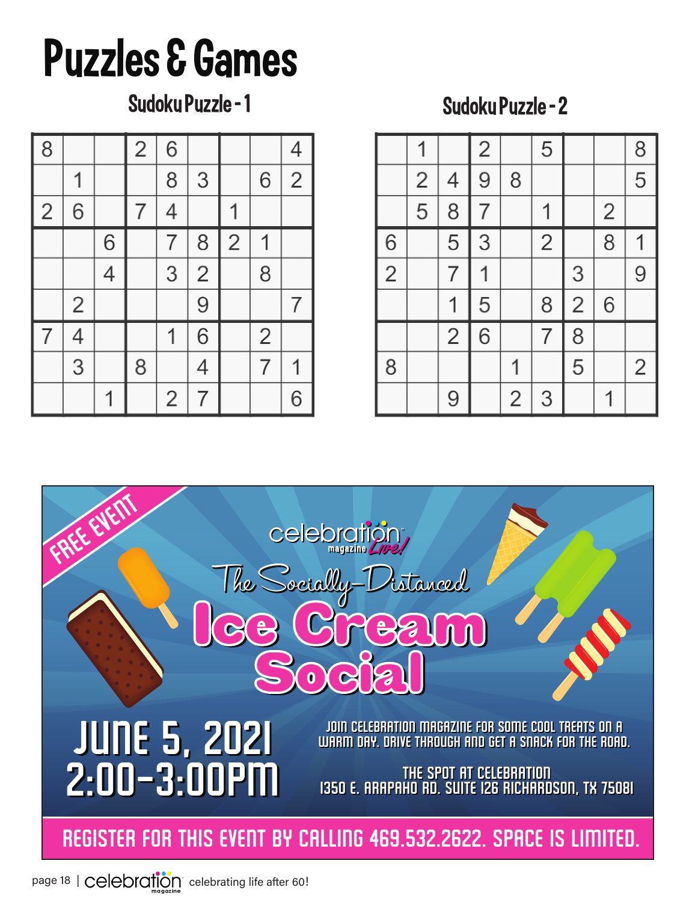# Puzzles & Games

Sudoku Puzzle - 1 Sudoku Puzzle - 2

| $\sqrt{8}$     |                |                | $\overline{2}$ | 6              |                |                |                | $\overline{4}$ |
|----------------|----------------|----------------|----------------|----------------|----------------|----------------|----------------|----------------|
|                | 1              |                |                | 8              | 3              |                | 6              | $\overline{2}$ |
| $\overline{2}$ | 6              |                | $\overline{7}$ | 4              |                |                |                |                |
|                |                | 6              |                | $\overline{7}$ | 8              | $\overline{c}$ |                |                |
|                |                | $\overline{4}$ |                | 3              | $\overline{2}$ |                | 8              |                |
|                | $\overline{2}$ |                |                |                | 9              |                |                | 7              |
| $\overline{7}$ | 4              |                |                | 1              | $\overline{6}$ |                | $\overline{2}$ |                |
|                | 3              |                | 8              |                | $\overline{4}$ |                | $\overline{7}$ | 1              |
|                |                | 1              |                | $\overline{2}$ | 7              |                |                | 6              |





page 18 | Celebration celebrating life after 60!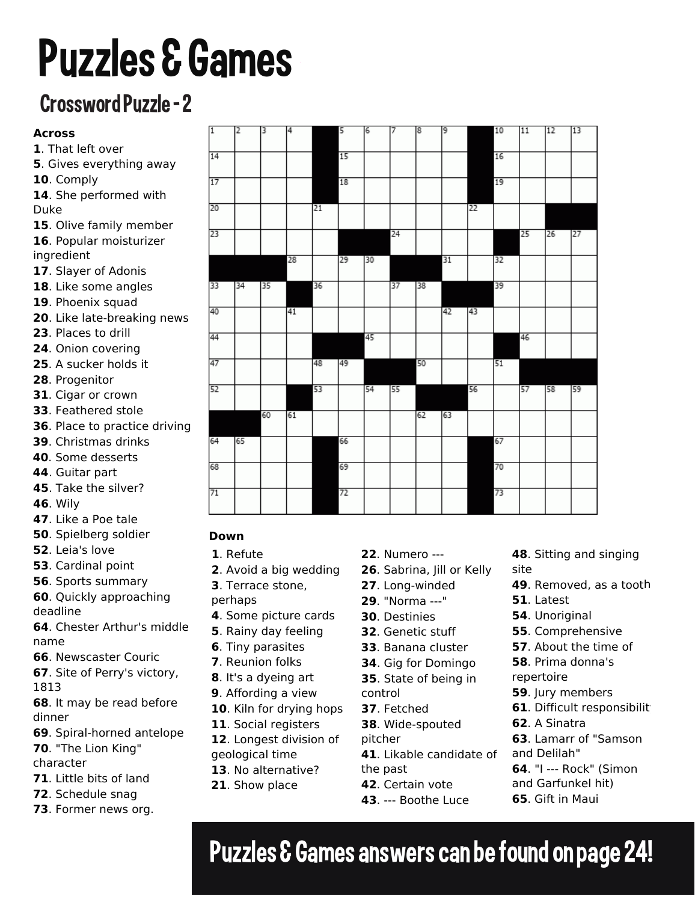# Puzzles & Games

#### Crossword Puzzle - 2 This is the Daily Crossword Puzzle **#3** for **Mar 19, 2021**

#### **Across**

- . That left over
- . Gives everything away
- . Comply
- . She performed with Duke
- . Olive family member
- . Popular moisturizer ingredient
- . Slayer of Adonis
- . Like some angles
- . Phoenix squad
- . Like late-breaking news
- . Places to drill
- . Onion covering
- . A sucker holds it
- . Progenitor
- . Cigar or crown
- . Feathered stole
- . Place to practice driving
- . Christmas drinks
- . Some desserts
- . Guitar part
- . Take the silver?
- . Wily
- . Like a Poe tale
- . Spielberg soldier
- . Leia's love
- . Cardinal point
- . Sports summary
- . Quickly approaching
- deadline

. Chester Arthur's middle name

- . Newscaster Couric
- . Site of Perry's victory,
- 
- . It may be read before dinner
- . Spiral-horned antelope
- . "The Lion King"
- character
- . Little bits of land
- . Schedule snag
- . Former news org.

| $\overline{1}$ | 12 | 3  | 4  |    | 5  | 6  | 17 | 8  | 9  |    | 10 | 11 | 12 | 13 |
|----------------|----|----|----|----|----|----|----|----|----|----|----|----|----|----|
| 14             |    |    |    |    | 15 |    |    |    |    |    | 16 |    |    |    |
| 17             |    |    |    |    | 18 |    |    |    |    |    | 19 |    |    |    |
| 20             |    |    |    | 21 |    |    |    |    |    | 22 |    |    |    |    |
| 23             |    |    |    |    |    |    | 24 |    |    |    |    | 25 | 26 | 27 |
|                |    |    | 28 |    | 29 | 30 |    |    | 31 |    | 32 |    |    |    |
| 33             | 34 | 35 |    | 36 |    |    | 37 | 38 |    |    | 39 |    |    |    |
| 40             |    |    | 41 |    |    |    |    |    | 42 | 43 |    |    |    |    |
| 44             |    |    |    |    |    | 45 |    |    |    |    |    | 46 |    |    |
| 47             |    |    |    | 48 | 49 |    |    | 50 |    |    | 51 |    |    |    |
| 52             |    |    |    | 53 |    | 54 | 55 |    |    | 56 |    | 57 | 58 | 59 |
|                |    | 60 | 61 |    |    |    |    | 62 | 63 |    |    |    |    |    |
| 64             | 65 |    |    |    | 66 |    |    |    |    |    | 67 |    |    |    |
| 68             |    |    |    |    | 69 |    |    |    |    |    | 70 |    |    |    |
| 71             |    |    |    |    | 72 |    |    |    |    |    | 73 |    |    |    |
|                |    |    |    |    |    |    |    |    |    |    |    |    |    |    |

### **Down**

- . Refute
- . Avoid a big wedding
- . Terrace stone,
- perhaps
- . Some picture cards
- . Rainy day feeling
- . Tiny parasites
- . Reunion folks
- . It's a dyeing art
- . Affording a view
- . Kiln for drying hops
- . Social registers
- . Longest division of geological time
- . No alternative?
- . Show place
- . Numero ---
- . Sabrina, Jill or Kelly
- . Long-winded
- . "Norma ---"
- . Destinies
- . Genetic stuff
- . Banana cluster
- . Gig for Domingo
- . State of being in
- control
- 
- 
- 
- 
- . Likable candidate of
- the past
- . Certain vote
- . --- Boothe Luce
- . Sitting and singing site
- . Removed, as a tooth
- . Latest
	- . Unoriginal
	- . Comprehensive
	- . About the time of
	- . Prima donna's
	- repertoire
	- . Jury members
	- **61.** Difficult responsibilit
	- . A Sinatra
	- . Lamarr of "Samson and Delilah"
	- . "I --- Rock" (Simon
	- and Garfunkel hit)
	- . Gift in Maui

## Puzzles & Games answers can be found on page 24!

- -
	-
	- . Fetched
	- . Wide-spouted
	- pitcher